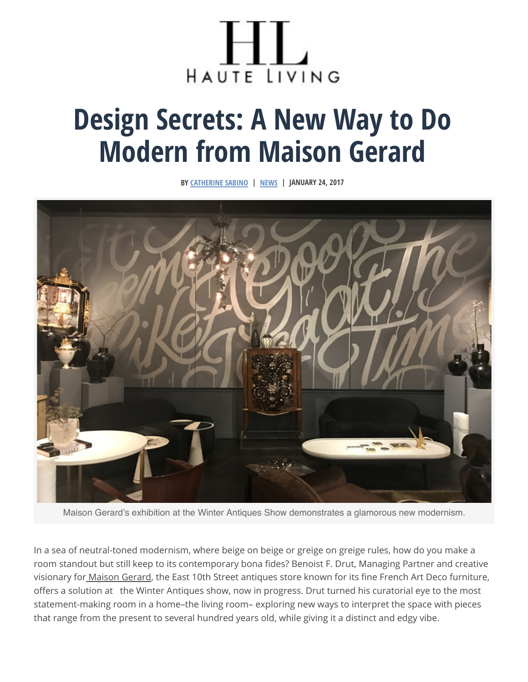## H I J HAUTE LIVING

## **Design Se[crets:](http://hauteliving.com/author/catherine-sabino/) [A N](http://hauteliving.com/categories/news/)ew Way to Do [Mode](https://twitter.com/intent/tweet?text=Design%20Secrets:%20A%20New%20Way%20to%20Do%20Modern%20from%20Maison%20Gerard&url=http://hauteliving.com/2017/01/design-secrets-a-new-way-to-do-modern-from-maison-gerard/628018/)[rn fro](https://pinterest.com/pin/create/button/?url=http://hauteliving.com/2017/01/design-secrets-a-new-way-to-do-modern-from-maison-gerard/628018/&media=http://hauteliving.com/wp-content/uploads/2017/01/REMGONEBooth-2.jpg&description=Design%20Secrets:%20A%20New%20Way%20to%20Do%20Modern%20from%20Maison%20Gerard)[m Ma](https://plus.google.com/share?url=http://hauteliving.com/2017/01/design-secrets-a-new-way-to-do-modern-from-maison-gerard/628018/)[ison G](http://www.stumbleupon.com/submit?url=http://hauteliving.com/2017/01/design-secrets-a-new-way-to-do-modern-from-maison-gerard/628018/)[erard](mailto:?subject=Design%20Secrets:%20A%20New%20Way%20to%20Do%20Modern%20from%20Maison%20Gerard&body=http://hauteliving.com/2017/01/design-secrets-a-new-way-to-do-modern-from-maison-gerard/628018/)**

**BY CATHERINE SABINO | NEWS | JANUARY 24, 2017**



Maison Gerard's exhibition at the Winter Antiques Show demonstrates a glamorous new modernism.

In a sea of neutral-toned modernism, where beige on beige or greige on greige rules, how do you make a room standout but still keep to its contemporary bona fides? Benoist F. Drut, Managing Partner and creative visionary for [Maison Gerard,](http://maisongerard.com/) the East 10th Street antiques store known for its fine French Art Deco furniture, offers a solution at the Winter Antiques show, now in progress. Drut turned his curatorial eye to the most statement-making room in a home–the living room– exploring new ways to interpret the space with pieces that range from the present to several hundred years old, while giving it a distinct and edgy vibe.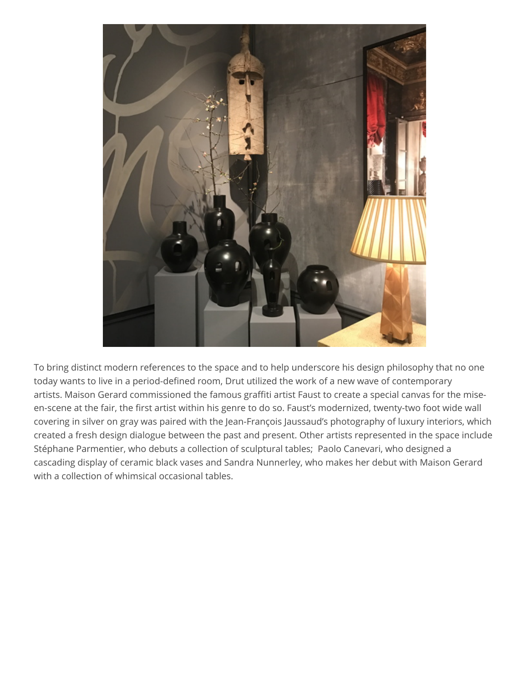

To bring distinct modern references to the space and to help underscore his design philosophy that no one today wants to live in a period-defined room, Drut utilized the work of a new wave of contemporary artists. Maison Gerard commissioned the famous graffiti artist Faust to create a special canvas for the miseen-scene at the fair, the first artist within his genre to do so. Faust's modernized, twenty-two foot wide wall covering in silver on gray was paired with the Jean-François Jaussaud's photography of luxury interiors, which created a fresh design dialogue between the past and present. Other artists represented in the space include Stéphane Parmentier, who debuts a collection of sculptural tables; Paolo Canevari, who designed a cascading display of ceramic black vases and Sandra Nunnerley, who makes her debut with Maison Gerard with a collection of whimsical occasional tables.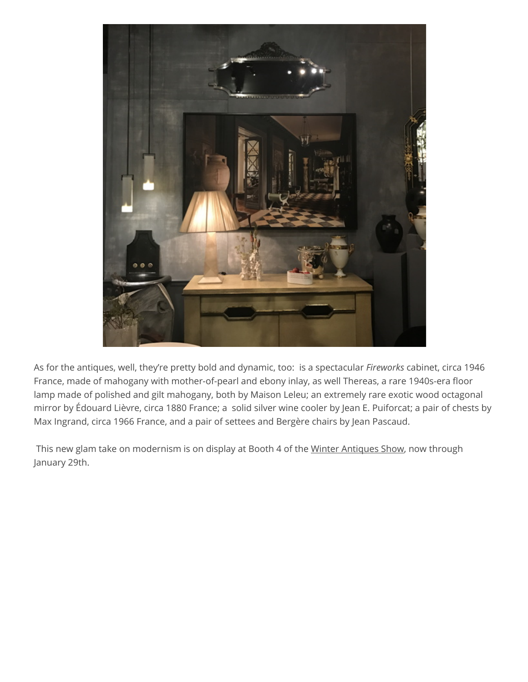

As for the antiques, well, they're pretty bold and dynamic, too: is a spectacular *Fireworks* cabinet, circa 1946 France, made of mahogany with mother-of-pearl and ebony inlay, as well Thereas, a rare 1940s-era floor lamp made of polished and gilt mahogany, both by Maison Leleu; an extremely rare exotic wood octagonal [mirror by Édouard Lièvre, circa 1880 France; a solid silver wine cooler by Jean E. Puiforcat; a pair of chests by](https://adclick.g.doubleclick.net/pcs/click?xai=AKAOjstVxjnLrWWPmstLAiRfhbsccZcCLvZqG8n5_PxFoOG8ufI9p2CuRx2q_7q_BCO3xbjudkH8Ps1ftGr9G24XAzlvz69DHw5LUpO-MsZ13EOMLNPOqsV2szgHaCXicF0Xb3y_NahIgn49RHBl6qCtoWgQzOns5J6x0We5hr7OvveJm5YzepVE0T8fvu6drrdRlzEsZXnOyskh0cSInCSiR2AQ5Amih7FvW-YchlrGzotMC8M90jzcfMZtj1QD&sig=Cg0ArKJSzHzF6RQq9KS6EAE&urlfix=1&adurl=https://bnc.lt/IArk/OTN4qVgExy) Max Ingrand, circa 1966 France, and a pair of settees and Bergère chairs by Jean Pascaud.

This new glam take on modernism is on display at Booth 4 of the [Winter Antiques Show,](http://www.winterantiquesshow/) now through January 29th.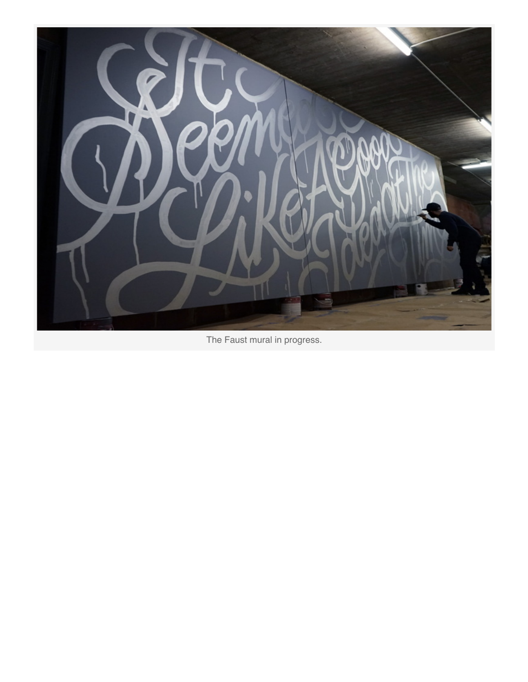

[The Faust mural in progress.](https://adclick.g.doubleclick.net/pcs/click?xai=AKAOjstVxjnLrWWPmstLAiRfhbsccZcCLvZqG8n5_PxFoOG8ufI9p2CuRx2q_7q_BCO3xbjudkH8Ps1ftGr9G24XAzlvz69DHw5LUpO-MsZ13EOMLNPOqsV2szgHaCXicF0Xb3y_NahIgn49RHBl6qCtoWgQzOns5J6x0We5hr7OvveJm5YzepVE0T8fvu6drrdRlzEsZXnOyskh0cSInCSiR2AQ5Amih7FvW-YchlrGzotMC8M90jzcfMZtj1QD&sig=Cg0ArKJSzHzF6RQq9KS6EAE&urlfix=1&adurl=https://bnc.lt/IArk/OTN4qVgExy)